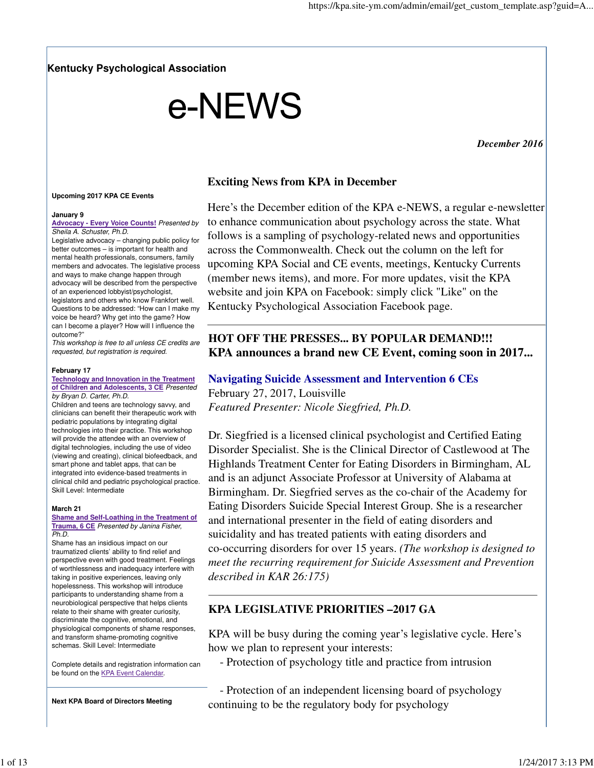**Kentucky Psychological Association**

# e-NEWS

*December 2016* 

## **Upcoming 2017 KPA CE Events**

#### **January 9**

**Advocacy - Every Voice Counts!** Presented by Sheila A. Schuster, Ph.D.

Legislative advocacy – changing public policy for better outcomes – is important for health and mental health professionals, consumers, family members and advocates. The legislative process and ways to make change happen through advocacy will be described from the perspective

of an experienced lobbyist/psychologist, legislators and others who know Frankfort well. Questions to be addressed: "How can I make my voice be heard? Why get into the game? How can I become a player? How will I influence the outcome?"

This workshop is free to all unless CE credits are requested, but registration is required.

#### **February 17**

#### **Technology and Innovation in the Treatment of Children and Adolescents, 3 CE** Presented by Bryan D. Carter, Ph.D.

Children and teens are technology savvy, and clinicians can benefit their therapeutic work with pediatric populations by integrating digital technologies into their practice. This workshop will provide the attendee with an overview of digital technologies, including the use of video (viewing and creating), clinical biofeedback, and smart phone and tablet apps, that can be integrated into evidence-based treatments in clinical child and pediatric psychological practice. Skill Level: Intermediate

### **March 21**

#### **Shame and Self-Loathing in the Treatment of Trauma, 6 CE** Presented by Janina Fisher, Ph.D.

Shame has an insidious impact on our traumatized clients' ability to find relief and perspective even with good treatment. Feelings of worthlessness and inadequacy interfere with taking in positive experiences, leaving only hopelessness. This workshop will introduce participants to understanding shame from a neurobiological perspective that helps clients relate to their shame with greater curiosity, discriminate the cognitive, emotional, and physiological components of shame responses, and transform shame-promoting cognitive schemas. Skill Level: Intermediate

Complete details and registration information can be found on the KPA Event Calendar.

**Next KPA Board of Directors Meeting**

**Exciting News from KPA in December**

Here's the December edition of the KPA e-NEWS, a regular e-newsletter to enhance communication about psychology across the state. What follows is a sampling of psychology-related news and opportunities across the Commonwealth. Check out the column on the left for upcoming KPA Social and CE events, meetings, Kentucky Currents (member news items), and more. For more updates, visit the KPA website and join KPA on Facebook: simply click "Like" on the Kentucky Psychological Association Facebook page.

# **HOT OFF THE PRESSES... BY POPULAR DEMAND!!! KPA announces a brand new CE Event, coming soon in 2017...**

# **Navigating Suicide Assessment and Intervention 6 CEs** February 27, 2017, Louisville

*Featured Presenter: Nicole Siegfried, Ph.D.*

Dr. Siegfried is a licensed clinical psychologist and Certified Eating Disorder Specialist. She is the Clinical Director of Castlewood at The Highlands Treatment Center for Eating Disorders in Birmingham, AL and is an adjunct Associate Professor at University of Alabama at Birmingham. Dr. Siegfried serves as the co-chair of the Academy for Eating Disorders Suicide Special Interest Group. She is a researcher and international presenter in the field of eating disorders and suicidality and has treated patients with eating disorders and co-occurring disorders for over 15 years. *(The workshop is designed to meet the recurring requirement for Suicide Assessment and Prevention described in KAR 26:175)*

# **KPA LEGISLATIVE PRIORITIES –2017 GA**

KPA will be busy during the coming year's legislative cycle. Here's how we plan to represent your interests:

- Protection of psychology title and practice from intrusion

 - Protection of an independent licensing board of psychology continuing to be the regulatory body for psychology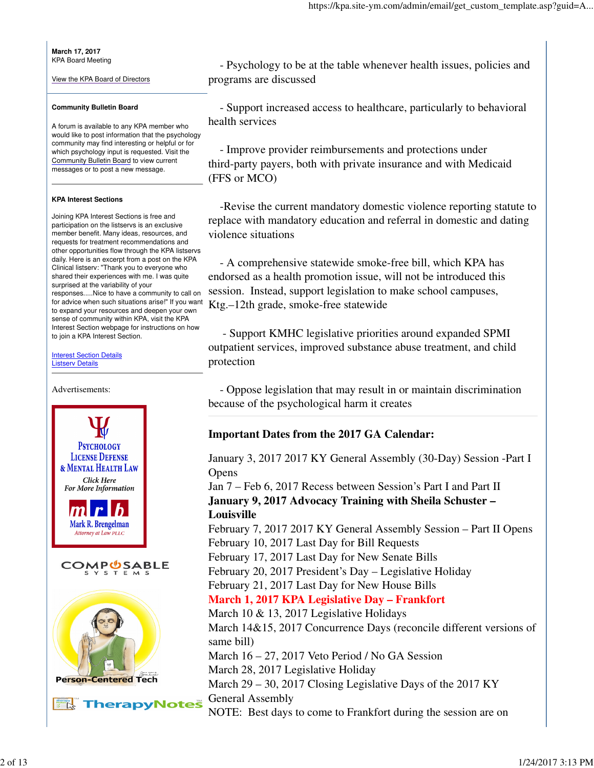**March 17, 2017** KPA Board Meeting

View the KPA Board of Directors

## **Community Bulletin Board**

A forum is available to any KPA member who would like to post information that the psychology community may find interesting or helpful or for which psychology input is requested. Visit the Community Bulletin Board to view current messages or to post a new message.

## **KPA Interest Sections**

Joining KPA Interest Sections is free and participation on the listservs is an exclusive member benefit. Many ideas, resources, and requests for treatment recommendations and other opportunities flow through the KPA listservs daily. Here is an excerpt from a post on the KPA Clinical listserv: "Thank you to everyone who shared their experiences with me. I was quite surprised at the variability of your responses.....Nice to have a community to call on for advice when such situations arise!" If you want to expand your resources and deepen your own

sense of community within KPA, visit the KPA Interest Section webpage for instructions on how to join a KPA Interest Section.

**Interest Section Details** Listserv Details



 - Psychology to be at the table whenever health issues, policies and programs are discussed

 - Support increased access to healthcare, particularly to behavioral health services

 - Improve provider reimbursements and protections under third-party payers, both with private insurance and with Medicaid (FFS or MCO)

 -Revise the current mandatory domestic violence reporting statute to replace with mandatory education and referral in domestic and dating violence situations

 - A comprehensive statewide smoke-free bill, which KPA has endorsed as a health promotion issue, will not be introduced this session. Instead, support legislation to make school campuses, Ktg.–12th grade, smoke-free statewide

 - Support KMHC legislative priorities around expanded SPMI outpatient services, improved substance abuse treatment, and child protection

 - Oppose legislation that may result in or maintain discrimination because of the psychological harm it creates

# **Important Dates from the 2017 GA Calendar:**

January 3, 2017 2017 KY General Assembly (30-Day) Session -Part I **Opens** 

Jan 7 – Feb 6, 2017 Recess between Session's Part I and Part II **January 9, 2017 Advocacy Training with Sheila Schuster – Louisville**

February 7, 2017 2017 KY General Assembly Session – Part II Opens February 10, 2017 Last Day for Bill Requests

February 17, 2017 Last Day for New Senate Bills

February 20, 2017 President's Day – Legislative Holiday

February 21, 2017 Last Day for New House Bills

# **March 1, 2017 KPA Legislative Day – Frankfort**

March 10 & 13, 2017 Legislative Holidays March 14&15, 2017 Concurrence Days (reconcile different versions of same bill) March 16 – 27, 2017 Veto Period / No GA Session March 28, 2017 Legislative Holiday March 29 – 30, 2017 Closing Legislative Days of the 2017 KY General Assembly NOTE: Best days to come to Frankfort during the session are on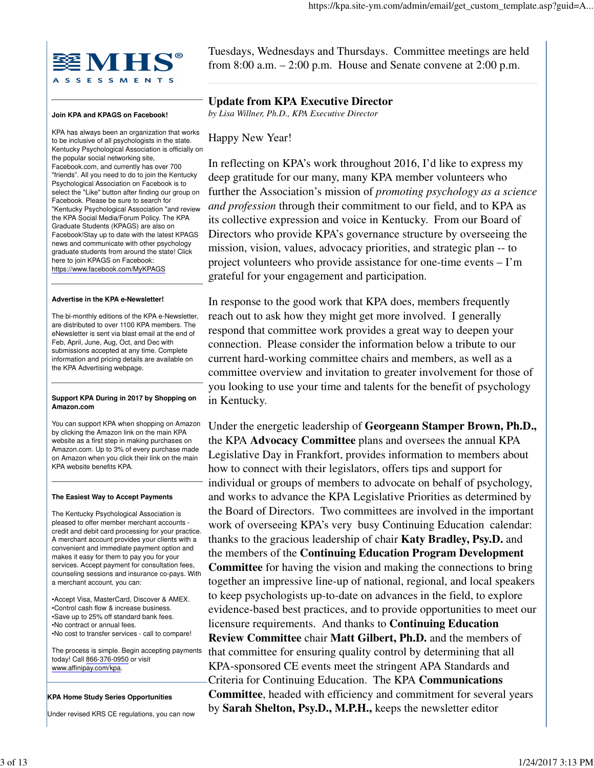

#### **Join KPA and KPAGS on Facebook!**

KPA has always been an organization that works to be inclusive of all psychologists in the state. Kentucky Psychological Association is officially on the popular social networking site, Facebook.com, and currently has over 700 "friends". All you need to do to join the Kentucky Psychological Association on Facebook is to select the "Like" button after finding our group on Facebook. Please be sure to search for "Kentucky Psychological Association "and review the KPA Social Media/Forum Policy. The KPA Graduate Students (KPAGS) are also on Facebook!Stay up to date with the latest KPAGS news and communicate with other psychology graduate students from around the state! Click here to join KPAGS on Facebook: https://www.facebook.com/MyKPAGS

#### **Advertise in the KPA e-Newsletter!**

The bi-monthly editions of the KPA e-Newsletter, are distributed to over 1100 KPA members. The eNewsletter is sent via blast email at the end of Feb, April, June, Aug, Oct, and Dec with submissions accepted at any time. Complete information and pricing details are available on the KPA Advertising webpage.

#### **Support KPA During in 2017 by Shopping on Amazon.com**

You can support KPA when shopping on Amazon by clicking the Amazon link on the main KPA website as a first step in making purchases on Amazon.com. Up to 3% of every purchase made on Amazon when you click their link on the main KPA website benefits KPA.

#### **The Easiest Way to Accept Payments**

The Kentucky Psychological Association is pleased to offer member merchant accounts credit and debit card processing for your practice. A merchant account provides your clients with a convenient and immediate payment option and makes it easy for them to pay you for your services. Accept payment for consultation fees, counseling sessions and insurance co-pays. With a merchant account, you can:

•Accept Visa, MasterCard, Discover & AMEX. •Control cash flow & increase business. •Save up to 25% off standard bank fees. •No contract or annual fees. •No cost to transfer services - call to compare!

The process is simple. Begin accepting payments today! Call 866-376-0950 or visit www.affinipay.com/kpa.

#### **KPA Home Study Series Opportunities**

Under revised KRS CE regulations, you can now

Tuesdays, Wednesdays and Thursdays. Committee meetings are held from 8:00 a.m. – 2:00 p.m. House and Senate convene at 2:00 p.m.

# **Update from KPA Executive Director**

*by Lisa Willner, Ph.D., KPA Executive Director*

## Happy New Year!

In reflecting on KPA's work throughout 2016, I'd like to express my deep gratitude for our many, many KPA member volunteers who further the Association's mission of *promoting psychology as a science and profession* through their commitment to our field, and to KPA as its collective expression and voice in Kentucky. From our Board of Directors who provide KPA's governance structure by overseeing the mission, vision, values, advocacy priorities, and strategic plan -- to project volunteers who provide assistance for one-time events – I'm grateful for your engagement and participation.

In response to the good work that KPA does, members frequently reach out to ask how they might get more involved. I generally respond that committee work provides a great way to deepen your connection. Please consider the information below a tribute to our current hard-working committee chairs and members, as well as a committee overview and invitation to greater involvement for those of you looking to use your time and talents for the benefit of psychology in Kentucky.

Under the energetic leadership of **Georgeann Stamper Brown, Ph.D.,** the KPA **Advocacy Committee** plans and oversees the annual KPA Legislative Day in Frankfort, provides information to members about how to connect with their legislators, offers tips and support for individual or groups of members to advocate on behalf of psychology, and works to advance the KPA Legislative Priorities as determined by the Board of Directors. Two committees are involved in the important work of overseeing KPA's very busy Continuing Education calendar: thanks to the gracious leadership of chair **Katy Bradley, Psy.D.** and the members of the **Continuing Education Program Development Committee** for having the vision and making the connections to bring together an impressive line-up of national, regional, and local speakers to keep psychologists up-to-date on advances in the field, to explore evidence-based best practices, and to provide opportunities to meet our licensure requirements. And thanks to **Continuing Education Review Committee** chair **Matt Gilbert, Ph.D.** and the members of that committee for ensuring quality control by determining that all KPA-sponsored CE events meet the stringent APA Standards and Criteria for Continuing Education. The KPA **Communications Committee**, headed with efficiency and commitment for several years by **Sarah Shelton, Psy.D., M.P.H.,** keeps the newsletter editor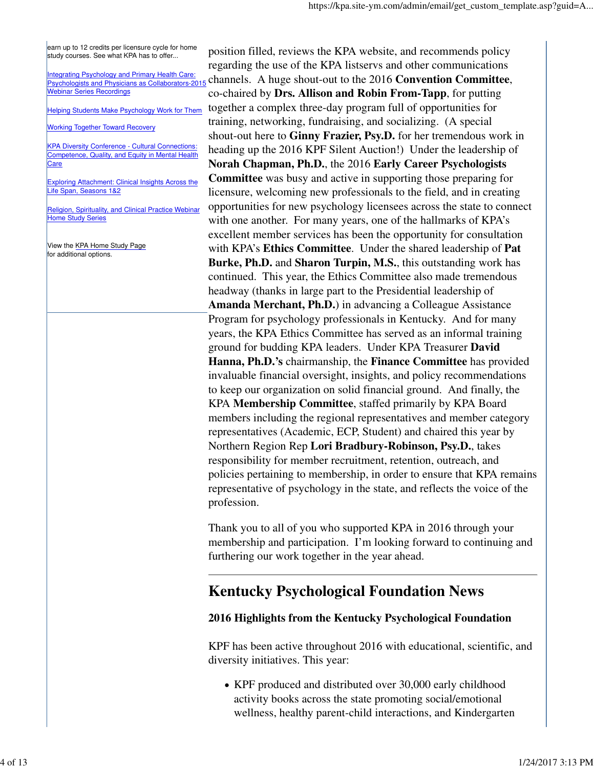earn up to 12 credits per licensure cycle for home study courses. See what KPA has to offer...

Integrating Psychology and Primary Health Care: Psychologists and Physicians as Collaborators-2015 Webinar Series Recordings

Helping Students Make Psychology Work for Them

Working Together Toward Recovery

KPA Diversity Conference - Cultural Connections: Competence, Quality, and Equity in Mental Health Care

Exploring Attachment: Clinical Insights Across the Life Span, Seasons 1&2

Religion, Spirituality, and Clinical Practice Webinar Home Study Series

View the KPA Home Study Page for additional options.

position filled, reviews the KPA website, and recommends policy regarding the use of the KPA listservs and other communications channels. A huge shout-out to the 2016 **Convention Committee**, co-chaired by **Drs. Allison and Robin From-Tapp**, for putting together a complex three-day program full of opportunities for training, networking, fundraising, and socializing. (A special shout-out here to **Ginny Frazier, Psy.D.** for her tremendous work in heading up the 2016 KPF Silent Auction!) Under the leadership of **Norah Chapman, Ph.D.**, the 2016 **Early Career Psychologists Committee** was busy and active in supporting those preparing for licensure, welcoming new professionals to the field, and in creating opportunities for new psychology licensees across the state to connect with one another. For many years, one of the hallmarks of KPA's excellent member services has been the opportunity for consultation with KPA's **Ethics Committee**. Under the shared leadership of **Pat Burke, Ph.D.** and **Sharon Turpin, M.S.**, this outstanding work has continued. This year, the Ethics Committee also made tremendous headway (thanks in large part to the Presidential leadership of **Amanda Merchant, Ph.D.**) in advancing a Colleague Assistance Program for psychology professionals in Kentucky. And for many years, the KPA Ethics Committee has served as an informal training ground for budding KPA leaders. Under KPA Treasurer **David Hanna, Ph.D.'s** chairmanship, the **Finance Committee** has provided invaluable financial oversight, insights, and policy recommendations to keep our organization on solid financial ground. And finally, the KPA **Membership Committee**, staffed primarily by KPA Board members including the regional representatives and member category representatives (Academic, ECP, Student) and chaired this year by Northern Region Rep **Lori Bradbury-Robinson, Psy.D.**, takes responsibility for member recruitment, retention, outreach, and policies pertaining to membership, in order to ensure that KPA remains representative of psychology in the state, and reflects the voice of the profession.

Thank you to all of you who supported KPA in 2016 through your membership and participation. I'm looking forward to continuing and furthering our work together in the year ahead.

# **Kentucky Psychological Foundation News**

# **2016 Highlights from the Kentucky Psychological Foundation**

KPF has been active throughout 2016 with educational, scientific, and diversity initiatives. This year:

KPF produced and distributed over 30,000 early childhood activity books across the state promoting social/emotional wellness, healthy parent-child interactions, and Kindergarten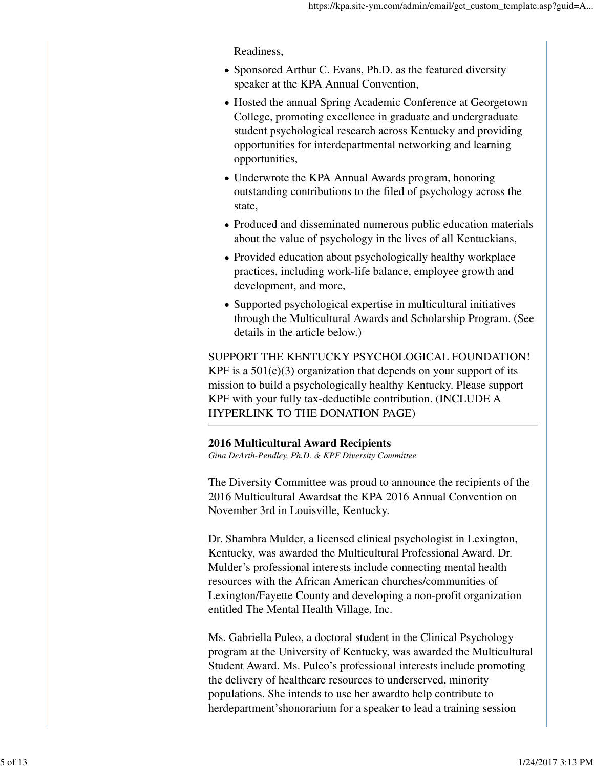Readiness,

- Sponsored Arthur C. Evans, Ph.D. as the featured diversity speaker at the KPA Annual Convention,
- Hosted the annual Spring Academic Conference at Georgetown College, promoting excellence in graduate and undergraduate student psychological research across Kentucky and providing opportunities for interdepartmental networking and learning opportunities,
- Underwrote the KPA Annual Awards program, honoring outstanding contributions to the filed of psychology across the state,
- Produced and disseminated numerous public education materials about the value of psychology in the lives of all Kentuckians,
- Provided education about psychologically healthy workplace practices, including work-life balance, employee growth and development, and more,
- Supported psychological expertise in multicultural initiatives through the Multicultural Awards and Scholarship Program. (See details in the article below.)

SUPPORT THE KENTUCKY PSYCHOLOGICAL FOUNDATION! KPF is a  $501(c)(3)$  organization that depends on your support of its mission to build a psychologically healthy Kentucky. Please support KPF with your fully tax-deductible contribution. (INCLUDE A HYPERLINK TO THE DONATION PAGE)

# **2016 Multicultural Award Recipients**

*Gina DeArth-Pendley, Ph.D. & KPF Diversity Committee*

The Diversity Committee was proud to announce the recipients of the 2016 Multicultural Awardsat the KPA 2016 Annual Convention on November 3rd in Louisville, Kentucky.

Dr. Shambra Mulder, a licensed clinical psychologist in Lexington, Kentucky, was awarded the Multicultural Professional Award. Dr. Mulder's professional interests include connecting mental health resources with the African American churches/communities of Lexington/Fayette County and developing a non-profit organization entitled The Mental Health Village, Inc.

Ms. Gabriella Puleo, a doctoral student in the Clinical Psychology program at the University of Kentucky, was awarded the Multicultural Student Award. Ms. Puleo's professional interests include promoting the delivery of healthcare resources to underserved, minority populations. She intends to use her awardto help contribute to herdepartment'shonorarium for a speaker to lead a training session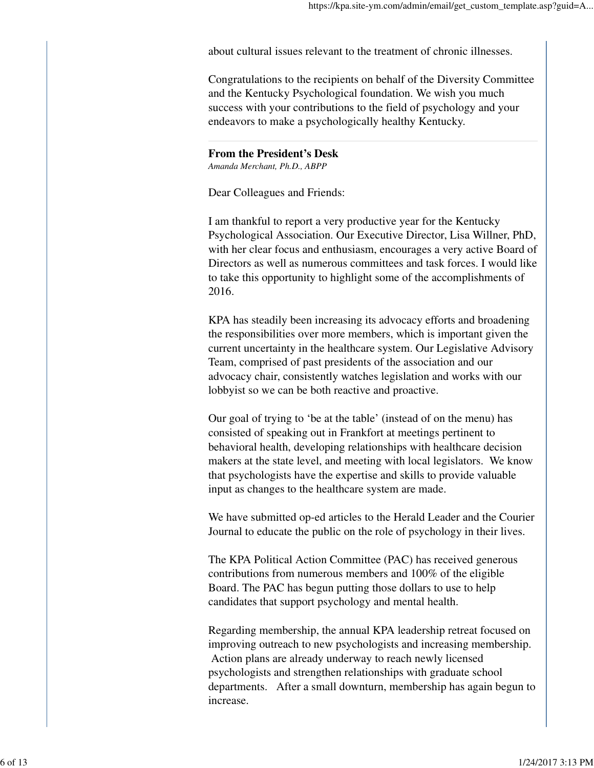about cultural issues relevant to the treatment of chronic illnesses.

Congratulations to the recipients on behalf of the Diversity Committee and the Kentucky Psychological foundation. We wish you much success with your contributions to the field of psychology and your endeavors to make a psychologically healthy Kentucky.

# **From the President's Desk**

*Amanda Merchant, Ph.D., ABPP*

Dear Colleagues and Friends:

I am thankful to report a very productive year for the Kentucky Psychological Association. Our Executive Director, Lisa Willner, PhD, with her clear focus and enthusiasm, encourages a very active Board of Directors as well as numerous committees and task forces. I would like to take this opportunity to highlight some of the accomplishments of 2016.

KPA has steadily been increasing its advocacy efforts and broadening the responsibilities over more members, which is important given the current uncertainty in the healthcare system. Our Legislative Advisory Team, comprised of past presidents of the association and our advocacy chair, consistently watches legislation and works with our lobbyist so we can be both reactive and proactive.

Our goal of trying to 'be at the table' (instead of on the menu) has consisted of speaking out in Frankfort at meetings pertinent to behavioral health, developing relationships with healthcare decision makers at the state level, and meeting with local legislators. We know that psychologists have the expertise and skills to provide valuable input as changes to the healthcare system are made.

We have submitted op-ed articles to the Herald Leader and the Courier Journal to educate the public on the role of psychology in their lives.

The KPA Political Action Committee (PAC) has received generous contributions from numerous members and 100% of the eligible Board. The PAC has begun putting those dollars to use to help candidates that support psychology and mental health.

Regarding membership, the annual KPA leadership retreat focused on improving outreach to new psychologists and increasing membership. Action plans are already underway to reach newly licensed psychologists and strengthen relationships with graduate school departments. After a small downturn, membership has again begun to increase.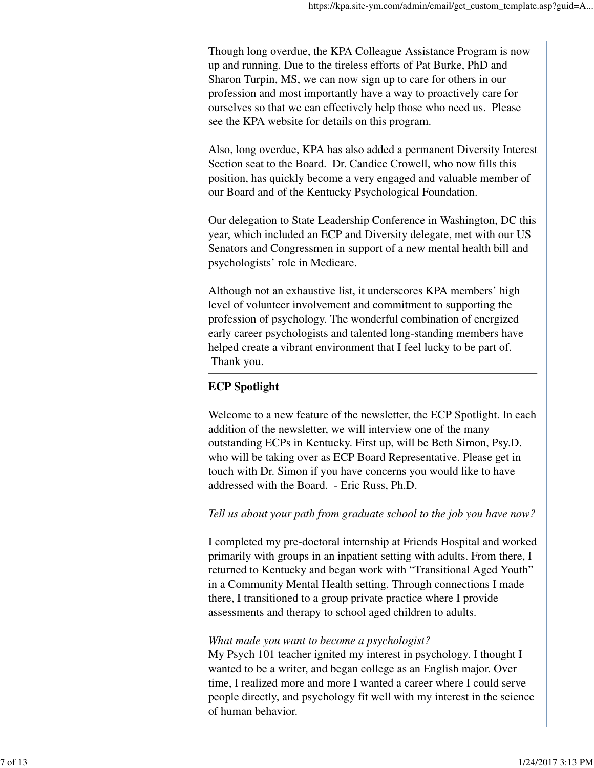Though long overdue, the KPA Colleague Assistance Program is now up and running. Due to the tireless efforts of Pat Burke, PhD and Sharon Turpin, MS, we can now sign up to care for others in our profession and most importantly have a way to proactively care for ourselves so that we can effectively help those who need us. Please see the KPA website for details on this program.

Also, long overdue, KPA has also added a permanent Diversity Interest Section seat to the Board. Dr. Candice Crowell, who now fills this position, has quickly become a very engaged and valuable member of our Board and of the Kentucky Psychological Foundation.

Our delegation to State Leadership Conference in Washington, DC this year, which included an ECP and Diversity delegate, met with our US Senators and Congressmen in support of a new mental health bill and psychologists' role in Medicare.

Although not an exhaustive list, it underscores KPA members' high level of volunteer involvement and commitment to supporting the profession of psychology. The wonderful combination of energized early career psychologists and talented long-standing members have helped create a vibrant environment that I feel lucky to be part of. Thank you.

# **ECP Spotlight**

Welcome to a new feature of the newsletter, the ECP Spotlight. In each addition of the newsletter, we will interview one of the many outstanding ECPs in Kentucky. First up, will be Beth Simon, Psy.D. who will be taking over as ECP Board Representative. Please get in touch with Dr. Simon if you have concerns you would like to have addressed with the Board. - Eric Russ, Ph.D.

*Tell us about your path from graduate school to the job you have now?*

I completed my pre-doctoral internship at Friends Hospital and worked primarily with groups in an inpatient setting with adults. From there, I returned to Kentucky and began work with "Transitional Aged Youth" in a Community Mental Health setting. Through connections I made there, I transitioned to a group private practice where I provide assessments and therapy to school aged children to adults.

# *What made you want to become a psychologist?*

My Psych 101 teacher ignited my interest in psychology. I thought I wanted to be a writer, and began college as an English major. Over time, I realized more and more I wanted a career where I could serve people directly, and psychology fit well with my interest in the science of human behavior.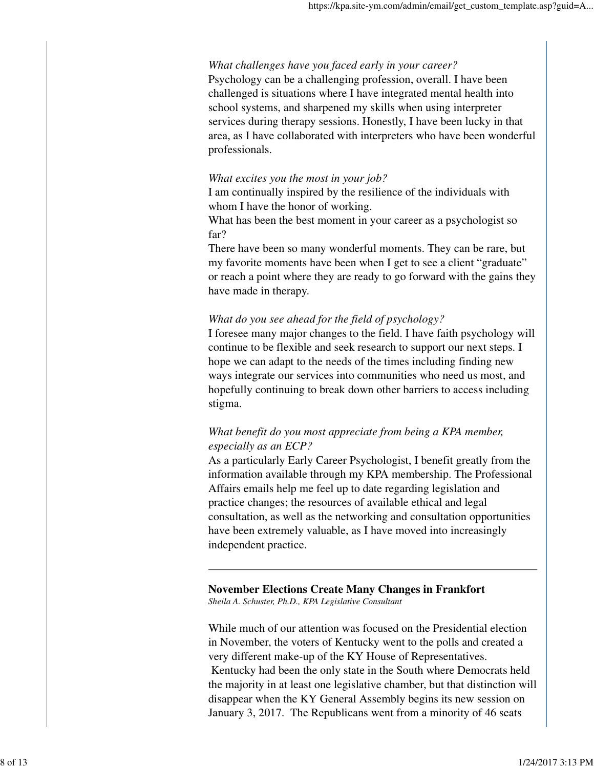## *What challenges have you faced early in your career?*

Psychology can be a challenging profession, overall. I have been challenged is situations where I have integrated mental health into school systems, and sharpened my skills when using interpreter services during therapy sessions. Honestly, I have been lucky in that area, as I have collaborated with interpreters who have been wonderful professionals.

## *What excites you the most in your job?*

I am continually inspired by the resilience of the individuals with whom I have the honor of working.

What has been the best moment in your career as a psychologist so far?

There have been so many wonderful moments. They can be rare, but my favorite moments have been when I get to see a client "graduate" or reach a point where they are ready to go forward with the gains they have made in therapy.

## *What do you see ahead for the field of psychology?*

I foresee many major changes to the field. I have faith psychology will continue to be flexible and seek research to support our next steps. I hope we can adapt to the needs of the times including finding new ways integrate our services into communities who need us most, and hopefully continuing to break down other barriers to access including stigma.

# *What benefit do you most appreciate from being a KPA member, especially as an ECP?*

As a particularly Early Career Psychologist, I benefit greatly from the information available through my KPA membership. The Professional Affairs emails help me feel up to date regarding legislation and practice changes; the resources of available ethical and legal consultation, as well as the networking and consultation opportunities have been extremely valuable, as I have moved into increasingly independent practice.

## **November Elections Create Many Changes in Frankfort** *Sheila A. Schuster, Ph.D., KPA Legislative Consultant*

While much of our attention was focused on the Presidential election in November, the voters of Kentucky went to the polls and created a very different make-up of the KY House of Representatives. Kentucky had been the only state in the South where Democrats held the majority in at least one legislative chamber, but that distinction will disappear when the KY General Assembly begins its new session on January 3, 2017. The Republicans went from a minority of 46 seats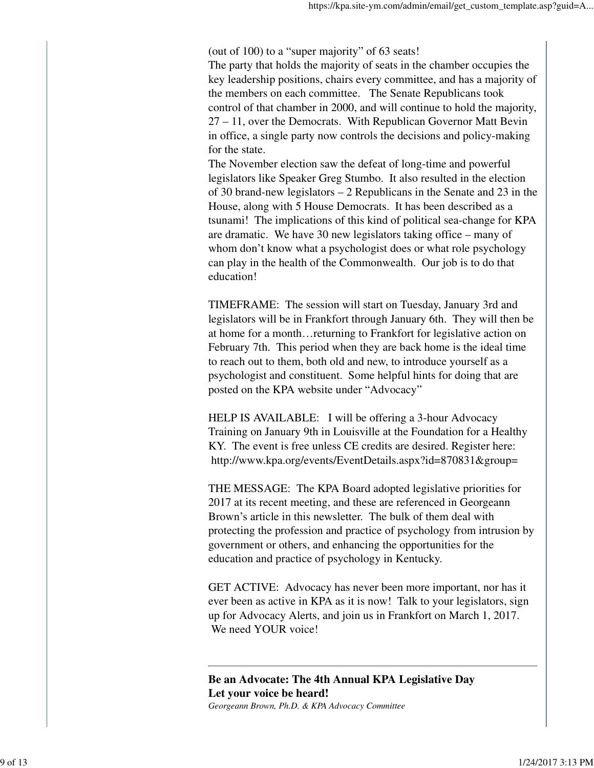(out of 100) to a "super majority" of 63 seats!

The party that holds the majority of seats in the chamber occupies the key leadership positions, chairs every committee, and has a majority of the members on each committee. The Senate Republicans took control of that chamber in 2000, and will continue to hold the majority, 27 – 11, over the Democrats. With Republican Governor Matt Bevin in office, a single party now controls the decisions and policy-making for the state.

The November election saw the defeat of long-time and powerful legislators like Speaker Greg Stumbo. It also resulted in the election of 30 brand-new legislators – 2 Republicans in the Senate and 23 in the House, along with 5 House Democrats. It has been described as a tsunami! The implications of this kind of political sea-change for KPA are dramatic. We have 30 new legislators taking office – many of whom don't know what a psychologist does or what role psychology can play in the health of the Commonwealth. Our job is to do that education!

TIMEFRAME: The session will start on Tuesday, January 3rd and legislators will be in Frankfort through January 6th. They will then be at home for a month…returning to Frankfort for legislative action on February 7th. This period when they are back home is the ideal time to reach out to them, both old and new, to introduce yourself as a psychologist and constituent. Some helpful hints for doing that are posted on the KPA website under "Advocacy"

HELP IS AVAILABLE: I will be offering a 3-hour Advocacy Training on January 9th in Louisville at the Foundation for a Healthy KY. The event is free unless CE credits are desired. Register here: http://www.kpa.org/events/EventDetails.aspx?id=870831&group=

THE MESSAGE: The KPA Board adopted legislative priorities for 2017 at its recent meeting, and these are referenced in Georgeann Brown's article in this newsletter. The bulk of them deal with protecting the profession and practice of psychology from intrusion by government or others, and enhancing the opportunities for the education and practice of psychology in Kentucky.

GET ACTIVE: Advocacy has never been more important, nor has it ever been as active in KPA as it is now! Talk to your legislators, sign up for Advocacy Alerts, and join us in Frankfort on March 1, 2017. We need YOUR voice!

**Be an Advocate: The 4th Annual KPA Legislative Day Let your voice be heard!** *Georgeann Brown, Ph.D. & KPA Advocacy Committee*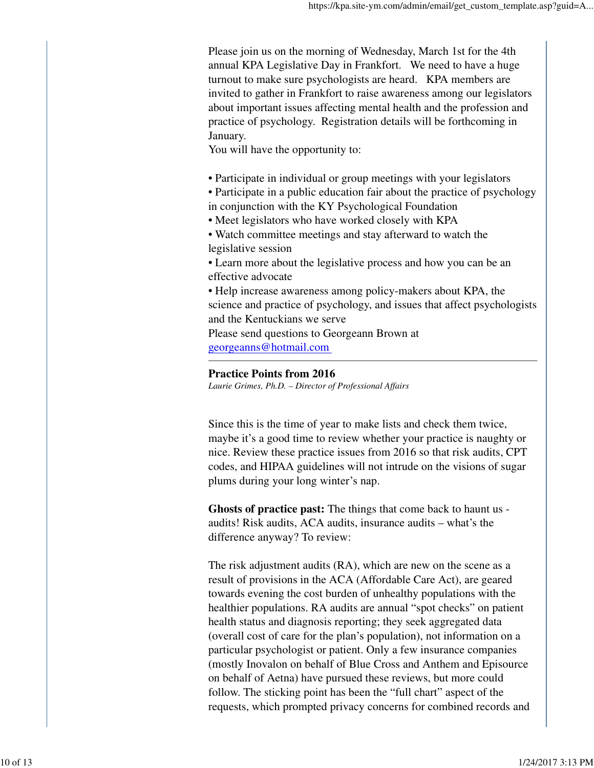Please join us on the morning of Wednesday, March 1st for the 4th annual KPA Legislative Day in Frankfort. We need to have a huge turnout to make sure psychologists are heard. KPA members are invited to gather in Frankfort to raise awareness among our legislators about important issues affecting mental health and the profession and practice of psychology. Registration details will be forthcoming in January.

You will have the opportunity to:

- Participate in individual or group meetings with your legislators
- Participate in a public education fair about the practice of psychology in conjunction with the KY Psychological Foundation
- Meet legislators who have worked closely with KPA
- Watch committee meetings and stay afterward to watch the legislative session
- Learn more about the legislative process and how you can be an effective advocate
- Help increase awareness among policy-makers about KPA, the science and practice of psychology, and issues that affect psychologists and the Kentuckians we serve

Please send questions to Georgeann Brown at georgeanns@hotmail.com

## **Practice Points from 2016**

*Laurie Grimes, Ph.D. – Director of Professional Affairs*

Since this is the time of year to make lists and check them twice, maybe it's a good time to review whether your practice is naughty or nice. Review these practice issues from 2016 so that risk audits, CPT codes, and HIPAA guidelines will not intrude on the visions of sugar plums during your long winter's nap.

**Ghosts of practice past:** The things that come back to haunt us audits! Risk audits, ACA audits, insurance audits – what's the difference anyway? To review:

The risk adjustment audits (RA), which are new on the scene as a result of provisions in the ACA (Affordable Care Act), are geared towards evening the cost burden of unhealthy populations with the healthier populations. RA audits are annual "spot checks" on patient health status and diagnosis reporting; they seek aggregated data (overall cost of care for the plan's population), not information on a particular psychologist or patient. Only a few insurance companies (mostly Inovalon on behalf of Blue Cross and Anthem and Episource on behalf of Aetna) have pursued these reviews, but more could follow. The sticking point has been the "full chart" aspect of the requests, which prompted privacy concerns for combined records and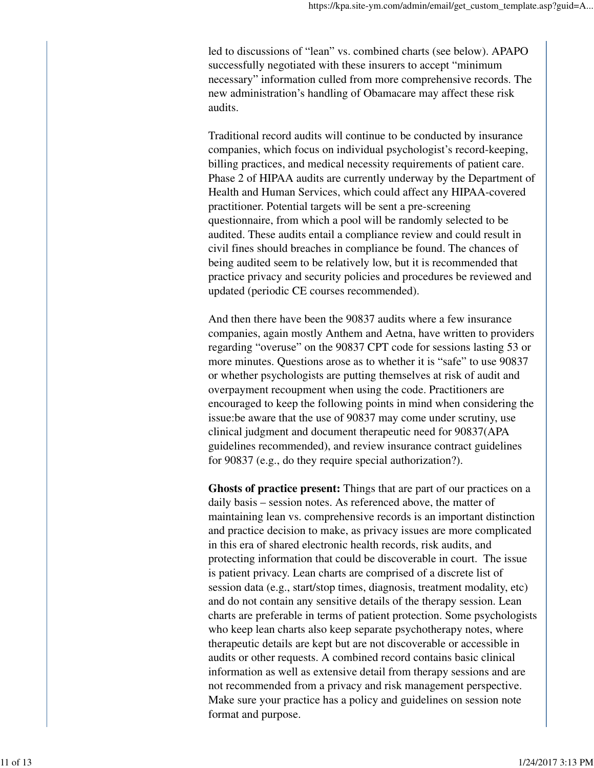led to discussions of "lean" vs. combined charts (see below). APAPO successfully negotiated with these insurers to accept "minimum necessary" information culled from more comprehensive records. The new administration's handling of Obamacare may affect these risk audits.

Traditional record audits will continue to be conducted by insurance companies, which focus on individual psychologist's record-keeping, billing practices, and medical necessity requirements of patient care. Phase 2 of HIPAA audits are currently underway by the Department of Health and Human Services, which could affect any HIPAA-covered practitioner. Potential targets will be sent a pre-screening questionnaire, from which a pool will be randomly selected to be audited. These audits entail a compliance review and could result in civil fines should breaches in compliance be found. The chances of being audited seem to be relatively low, but it is recommended that practice privacy and security policies and procedures be reviewed and updated (periodic CE courses recommended).

And then there have been the 90837 audits where a few insurance companies, again mostly Anthem and Aetna, have written to providers regarding "overuse" on the 90837 CPT code for sessions lasting 53 or more minutes. Questions arose as to whether it is "safe" to use 90837 or whether psychologists are putting themselves at risk of audit and overpayment recoupment when using the code. Practitioners are encouraged to keep the following points in mind when considering the issue:be aware that the use of 90837 may come under scrutiny, use clinical judgment and document therapeutic need for 90837(APA guidelines recommended), and review insurance contract guidelines for 90837 (e.g., do they require special authorization?).

**Ghosts of practice present:** Things that are part of our practices on a daily basis – session notes. As referenced above, the matter of maintaining lean vs. comprehensive records is an important distinction and practice decision to make, as privacy issues are more complicated in this era of shared electronic health records, risk audits, and protecting information that could be discoverable in court. The issue is patient privacy. Lean charts are comprised of a discrete list of session data (e.g., start/stop times, diagnosis, treatment modality, etc) and do not contain any sensitive details of the therapy session. Lean charts are preferable in terms of patient protection. Some psychologists who keep lean charts also keep separate psychotherapy notes, where therapeutic details are kept but are not discoverable or accessible in audits or other requests. A combined record contains basic clinical information as well as extensive detail from therapy sessions and are not recommended from a privacy and risk management perspective. Make sure your practice has a policy and guidelines on session note format and purpose.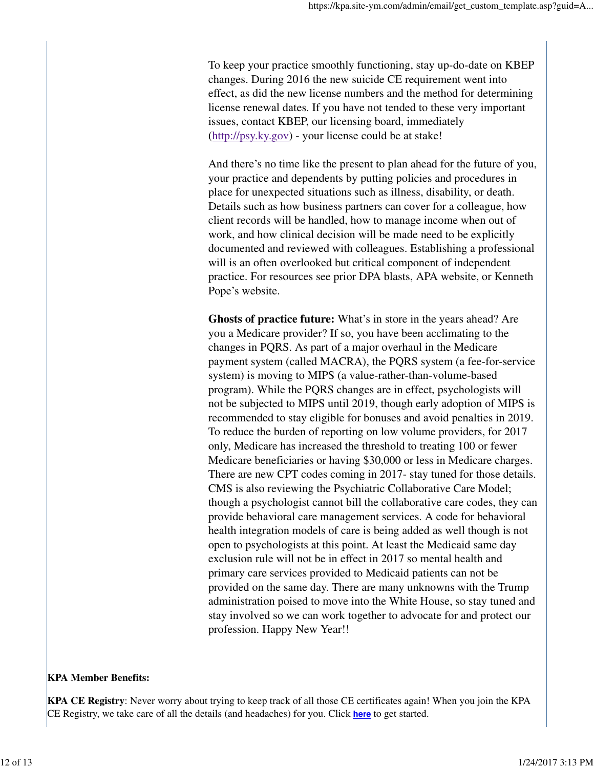To keep your practice smoothly functioning, stay up-do-date on KBEP changes. During 2016 the new suicide CE requirement went into effect, as did the new license numbers and the method for determining license renewal dates. If you have not tended to these very important issues, contact KBEP, our licensing board, immediately (http://psy.ky.gov) - your license could be at stake!

And there's no time like the present to plan ahead for the future of you, your practice and dependents by putting policies and procedures in place for unexpected situations such as illness, disability, or death. Details such as how business partners can cover for a colleague, how client records will be handled, how to manage income when out of work, and how clinical decision will be made need to be explicitly documented and reviewed with colleagues. Establishing a professional will is an often overlooked but critical component of independent practice. For resources see prior DPA blasts, APA website, or Kenneth Pope's website.

**Ghosts of practice future:** What's in store in the years ahead? Are you a Medicare provider? If so, you have been acclimating to the changes in PQRS. As part of a major overhaul in the Medicare payment system (called MACRA), the PQRS system (a fee-for-service system) is moving to MIPS (a value-rather-than-volume-based program). While the PQRS changes are in effect, psychologists will not be subjected to MIPS until 2019, though early adoption of MIPS is recommended to stay eligible for bonuses and avoid penalties in 2019. To reduce the burden of reporting on low volume providers, for 2017 only, Medicare has increased the threshold to treating 100 or fewer Medicare beneficiaries or having \$30,000 or less in Medicare charges. There are new CPT codes coming in 2017- stay tuned for those details. CMS is also reviewing the Psychiatric Collaborative Care Model; though a psychologist cannot bill the collaborative care codes, they can provide behavioral care management services. A code for behavioral health integration models of care is being added as well though is not open to psychologists at this point. At least the Medicaid same day exclusion rule will not be in effect in 2017 so mental health and primary care services provided to Medicaid patients can not be provided on the same day. There are many unknowns with the Trump administration poised to move into the White House, so stay tuned and stay involved so we can work together to advocate for and protect our profession. Happy New Year!!

## **KPA Member Benefits:**

**KPA CE Registry**: Never worry about trying to keep track of all those CE certificates again! When you join the KPA CE Registry, we take care of all the details (and headaches) for you. Click **here** to get started.